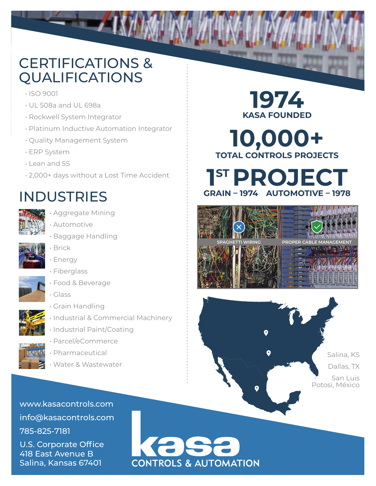## CERTIFICATIONS & QUALIFICATIONS

- ISO 9001
- UL 508a and UL 698a
- Rockwell System Integrator
- Platinum Inductive Automation Integrator
- Quality Management System
- ERP System
- Lean and 5S
- 2,000+ days without a Lost Time Accident

## INDUSTRIES



- Aggregate Mining
- Automotive
- Baggage Handling



• Energy

• Brick

- Fiberglass
- Food & Beverage
	- Glass



- Grain Handling
- Industrial & Commercial Machinery
- Industrial Paint/Coating



• Pharmaceutical

• Parcel/eCommerce

• Water & Wastewater

www.kasacontrols.com info@kasacontrols.com 785-825-7181 U.S. Corporate Office 418 East Avenue B

Salina, Kansas 67401

**1974 KASA FOUNDED 10,000+**

**TOTAL CONTROLS PROJECTS**







**CONTROLS & AUTOMATION**